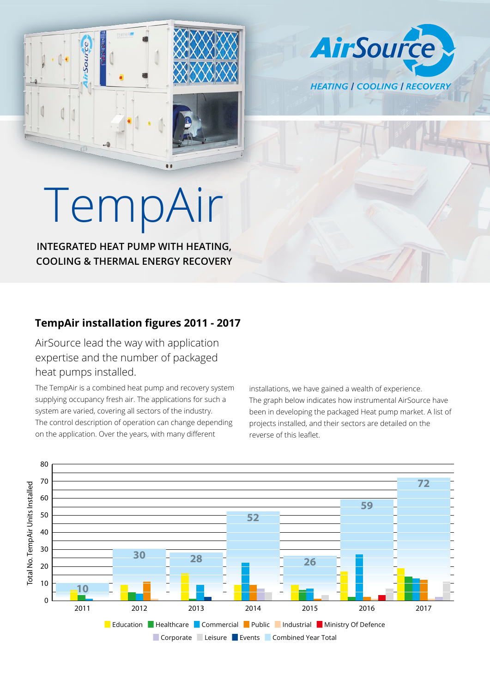





## TempAir

 $\bullet$ 

**INTEGRATED HEAT PUMP WITH HEATING, COOLING & THERMAL ENERGY RECOVERY**

## **TempAir installation figures 2011 - 2017**

AirSource lead the way with application expertise and the number of packaged heat pumps installed.

The TempAir is a combined heat pump and recovery system supplying occupancy fresh air. The applications for such a system are varied, covering all sectors of the industry. The control description of operation can change depending on the application. Over the years, with many different

installations, we have gained a wealth of experience. The graph below indicates how instrumental AirSource have been in developing the packaged Heat pump market. A list of projects installed, and their sectors are detailed on the reverse of this leaflet.